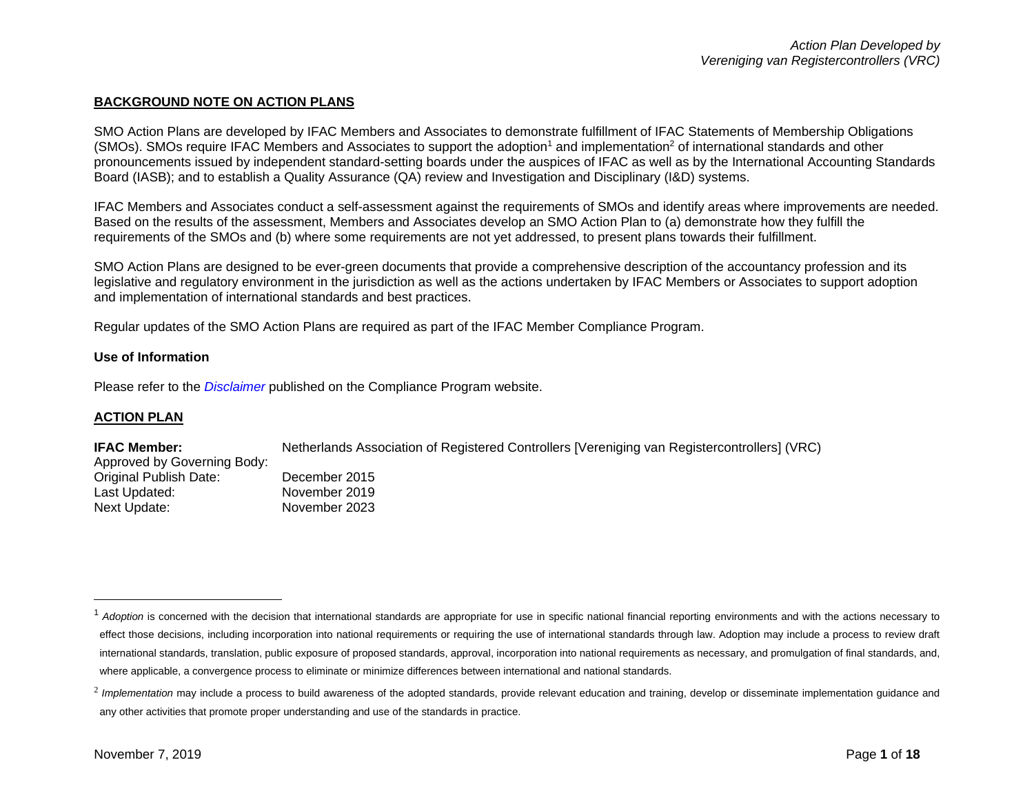## **BACKGROUND NOTE ON ACTION PLANS**

SMO Action Plans are developed by IFAC Members and Associates to demonstrate fulfillment of IFAC Statements of Membership Obligations (SMOs). SMOs require IFAC Members and Associates to support the adoption<sup>1</sup> and implementation<sup>2</sup> of international standards and other pronouncements issued by independent standard-setting boards under the auspices of IFAC as well as by the International Accounting Standards Board (IASB); and to establish a Quality Assurance (QA) review and Investigation and Disciplinary (I&D) systems.

IFAC Members and Associates conduct a self-assessment against the requirements of SMOs and identify areas where improvements are needed. Based on the results of the assessment, Members and Associates develop an SMO Action Plan to (a) demonstrate how they fulfill the requirements of the SMOs and (b) where some requirements are not yet addressed, to present plans towards their fulfillment.

SMO Action Plans are designed to be ever-green documents that provide a comprehensive description of the accountancy profession and its legislative and regulatory environment in the jurisdiction as well as the actions undertaken by IFAC Members or Associates to support adoption and implementation of international standards and best practices.

Regular updates of the SMO Action Plans are required as part of the IFAC Member Compliance Program.

## **Use of Information**

Please refer to the *[Disclaimer](http://www.ifac.org/about-ifac/membership/members/disclaimer)* published on the Compliance Program website.

## **ACTION PLAN**

#### **IFAC Member:** Netherlands Association of Registered Controllers [Vereniging van Registercontrollers] (VRC)

| Approved by Governing Body: |       |
|-----------------------------|-------|
| Original Publish Date:      | Decer |
| Last Updated:               | Nover |

mber 2015 mber 2019 Next Update: November 2023

<sup>&</sup>lt;sup>1</sup> Adoption is concerned with the decision that international standards are appropriate for use in specific national financial reporting environments and with the actions necessary to effect those decisions, including incorporation into national requirements or requiring the use of international standards through law. Adoption may include a process to review draft international standards, translation, public exposure of proposed standards, approval, incorporation into national requirements as necessary, and promulgation of final standards, and, where applicable, a convergence process to eliminate or minimize differences between international and national standards.

<sup>&</sup>lt;sup>2</sup> Implementation may include a process to build awareness of the adopted standards, provide relevant education and training, develop or disseminate implementation guidance and any other activities that promote proper understanding and use of the standards in practice.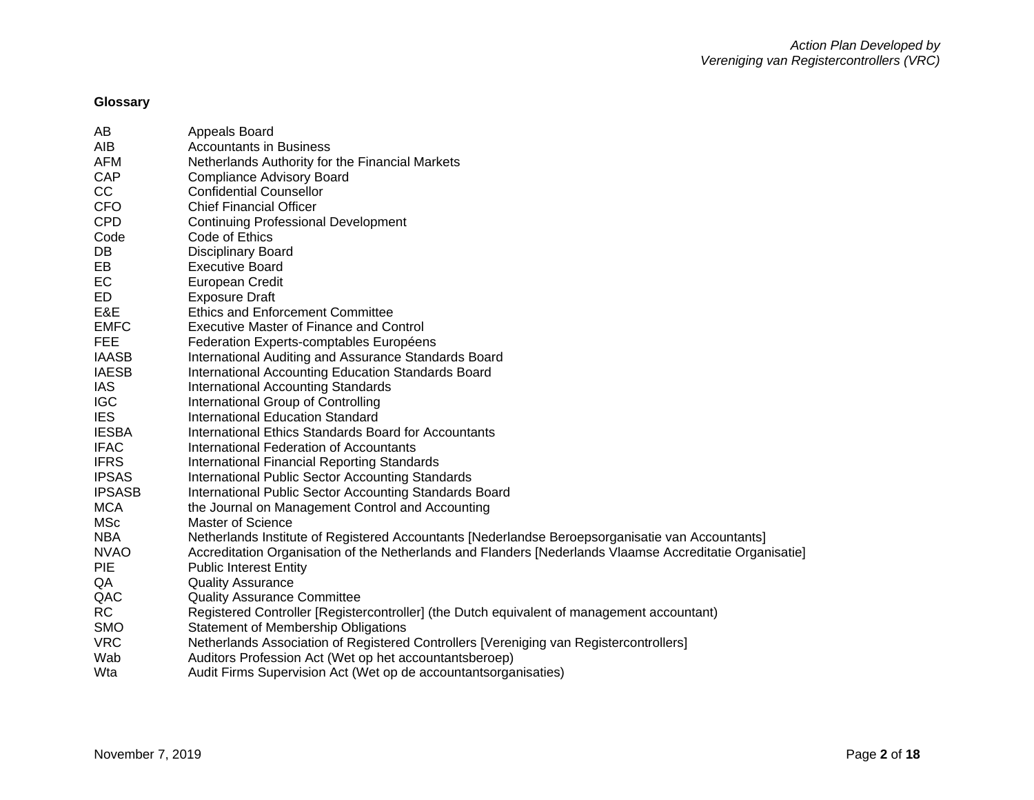# **Glossary**

| AB            | Appeals Board                                                                                            |
|---------------|----------------------------------------------------------------------------------------------------------|
| AIB           | <b>Accountants in Business</b>                                                                           |
| <b>AFM</b>    | Netherlands Authority for the Financial Markets                                                          |
| CAP           | <b>Compliance Advisory Board</b>                                                                         |
| CC            | <b>Confidential Counsellor</b>                                                                           |
| <b>CFO</b>    | <b>Chief Financial Officer</b>                                                                           |
| <b>CPD</b>    | <b>Continuing Professional Development</b>                                                               |
| Code          | Code of Ethics                                                                                           |
| DB            | <b>Disciplinary Board</b>                                                                                |
| EB            | <b>Executive Board</b>                                                                                   |
| EC            | European Credit                                                                                          |
| ED            | <b>Exposure Draft</b>                                                                                    |
| E&E           | <b>Ethics and Enforcement Committee</b>                                                                  |
| <b>EMFC</b>   | <b>Executive Master of Finance and Control</b>                                                           |
| <b>FEE</b>    | Federation Experts-comptables Européens                                                                  |
| <b>IAASB</b>  | International Auditing and Assurance Standards Board                                                     |
| <b>IAESB</b>  | International Accounting Education Standards Board                                                       |
| IAS.          | <b>International Accounting Standards</b>                                                                |
| <b>IGC</b>    | International Group of Controlling                                                                       |
| <b>IES</b>    | <b>International Education Standard</b>                                                                  |
| <b>IESBA</b>  | International Ethics Standards Board for Accountants                                                     |
| <b>IFAC</b>   | International Federation of Accountants                                                                  |
| <b>IFRS</b>   | International Financial Reporting Standards                                                              |
| <b>IPSAS</b>  | International Public Sector Accounting Standards                                                         |
| <b>IPSASB</b> | International Public Sector Accounting Standards Board                                                   |
| <b>MCA</b>    | the Journal on Management Control and Accounting                                                         |
| <b>MSc</b>    | <b>Master of Science</b>                                                                                 |
| <b>NBA</b>    | Netherlands Institute of Registered Accountants [Nederlandse Beroepsorganisatie van Accountants]         |
| <b>NVAO</b>   | Accreditation Organisation of the Netherlands and Flanders [Nederlands Vlaamse Accreditatie Organisatie] |
| <b>PIE</b>    | <b>Public Interest Entity</b>                                                                            |
| QA            | <b>Quality Assurance</b>                                                                                 |
| QAC           | <b>Quality Assurance Committee</b>                                                                       |
| <b>RC</b>     | Registered Controller [Registercontroller] (the Dutch equivalent of management accountant)               |
| <b>SMO</b>    | Statement of Membership Obligations                                                                      |
| <b>VRC</b>    | Netherlands Association of Registered Controllers [Vereniging van Registercontrollers]                   |
| Wab           | Auditors Profession Act (Wet op het accountantsberoep)                                                   |
| Wta           | Audit Firms Supervision Act (Wet op de accountantsorganisaties)                                          |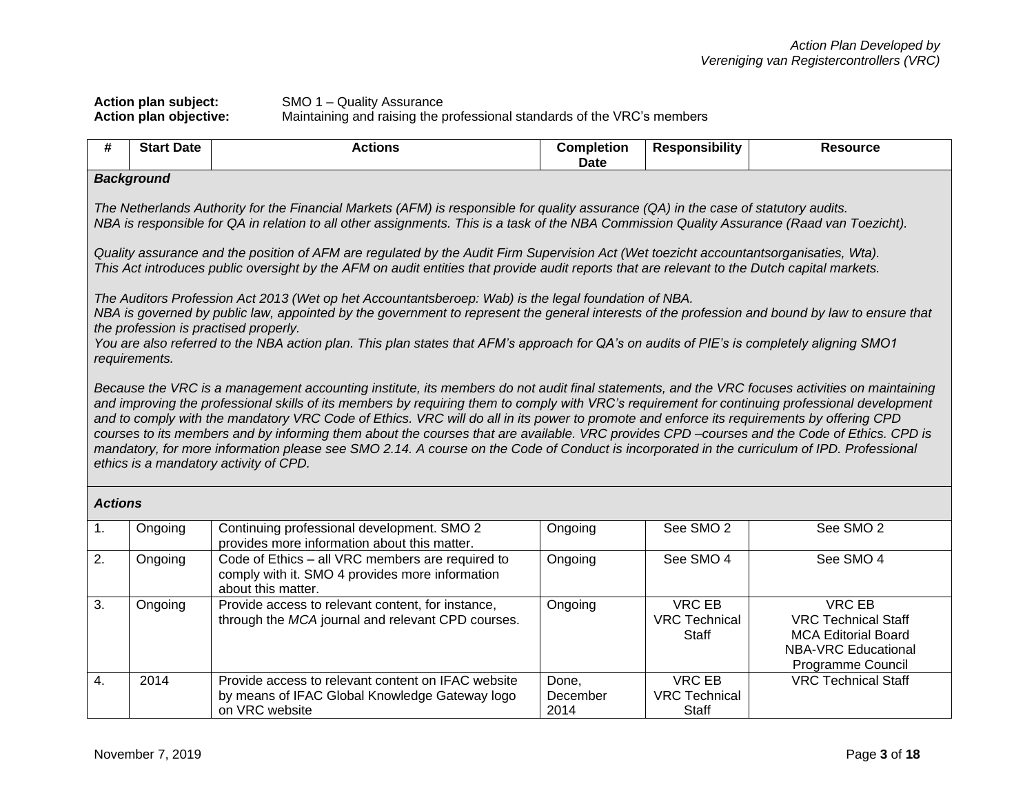## **Action plan subject:** SMO 1 – Quality Assurance **Action plan objective:** Maintaining and raising the professional standards of the VRC's members

| #                | <b>Start Date</b>                                                                                                                                                                                                                                                                                                                                                                                                                                                                                                                                                                                                                                                                                                                                                                                                                                                                                                                                                                                                                                                                                                                                                                                                                                        | <b>Actions</b>                                                                                                                                                                                                                                                                         | <b>Completion</b><br><b>Date</b> | <b>Responsibility</b>                          | <b>Resource</b>                                                                                                       |
|------------------|----------------------------------------------------------------------------------------------------------------------------------------------------------------------------------------------------------------------------------------------------------------------------------------------------------------------------------------------------------------------------------------------------------------------------------------------------------------------------------------------------------------------------------------------------------------------------------------------------------------------------------------------------------------------------------------------------------------------------------------------------------------------------------------------------------------------------------------------------------------------------------------------------------------------------------------------------------------------------------------------------------------------------------------------------------------------------------------------------------------------------------------------------------------------------------------------------------------------------------------------------------|----------------------------------------------------------------------------------------------------------------------------------------------------------------------------------------------------------------------------------------------------------------------------------------|----------------------------------|------------------------------------------------|-----------------------------------------------------------------------------------------------------------------------|
|                  | <b>Background</b>                                                                                                                                                                                                                                                                                                                                                                                                                                                                                                                                                                                                                                                                                                                                                                                                                                                                                                                                                                                                                                                                                                                                                                                                                                        |                                                                                                                                                                                                                                                                                        |                                  |                                                |                                                                                                                       |
|                  |                                                                                                                                                                                                                                                                                                                                                                                                                                                                                                                                                                                                                                                                                                                                                                                                                                                                                                                                                                                                                                                                                                                                                                                                                                                          | The Netherlands Authority for the Financial Markets (AFM) is responsible for quality assurance (QA) in the case of statutory audits.<br>NBA is responsible for QA in relation to all other assignments. This is a task of the NBA Commission Quality Assurance (Raad van Toezicht).    |                                  |                                                |                                                                                                                       |
|                  |                                                                                                                                                                                                                                                                                                                                                                                                                                                                                                                                                                                                                                                                                                                                                                                                                                                                                                                                                                                                                                                                                                                                                                                                                                                          | Quality assurance and the position of AFM are regulated by the Audit Firm Supervision Act (Wet toezicht accountantsorganisaties, Wta).<br>This Act introduces public oversight by the AFM on audit entities that provide audit reports that are relevant to the Dutch capital markets. |                                  |                                                |                                                                                                                       |
|                  | The Auditors Profession Act 2013 (Wet op het Accountantsberoep: Wab) is the legal foundation of NBA.<br>NBA is governed by public law, appointed by the government to represent the general interests of the profession and bound by law to ensure that<br>the profession is practised properly.<br>You are also referred to the NBA action plan. This plan states that AFM's approach for QA's on audits of PIE's is completely aligning SMO1<br>requirements.<br>Because the VRC is a management accounting institute, its members do not audit final statements, and the VRC focuses activities on maintaining<br>and improving the professional skills of its members by requiring them to comply with VRC's requirement for continuing professional development<br>and to comply with the mandatory VRC Code of Ethics. VRC will do all in its power to promote and enforce its requirements by offering CPD<br>courses to its members and by informing them about the courses that are available. VRC provides CPD-courses and the Code of Ethics. CPD is<br>mandatory, for more information please see SMO 2.14. A course on the Code of Conduct is incorporated in the curriculum of IPD. Professional<br>ethics is a mandatory activity of CPD. |                                                                                                                                                                                                                                                                                        |                                  |                                                |                                                                                                                       |
| <b>Actions</b>   |                                                                                                                                                                                                                                                                                                                                                                                                                                                                                                                                                                                                                                                                                                                                                                                                                                                                                                                                                                                                                                                                                                                                                                                                                                                          |                                                                                                                                                                                                                                                                                        |                                  |                                                |                                                                                                                       |
| 1.               | Ongoing                                                                                                                                                                                                                                                                                                                                                                                                                                                                                                                                                                                                                                                                                                                                                                                                                                                                                                                                                                                                                                                                                                                                                                                                                                                  | Continuing professional development. SMO 2<br>provides more information about this matter.                                                                                                                                                                                             | Ongoing                          | See SMO <sub>2</sub>                           | See SMO <sub>2</sub>                                                                                                  |
| 2.               | Ongoing                                                                                                                                                                                                                                                                                                                                                                                                                                                                                                                                                                                                                                                                                                                                                                                                                                                                                                                                                                                                                                                                                                                                                                                                                                                  | Code of Ethics - all VRC members are required to<br>comply with it. SMO 4 provides more information<br>about this matter.                                                                                                                                                              | Ongoing                          | See SMO 4                                      | See SMO 4                                                                                                             |
| 3.               | Ongoing                                                                                                                                                                                                                                                                                                                                                                                                                                                                                                                                                                                                                                                                                                                                                                                                                                                                                                                                                                                                                                                                                                                                                                                                                                                  | Provide access to relevant content, for instance,<br>through the MCA journal and relevant CPD courses.                                                                                                                                                                                 | Ongoing                          | <b>VRC EB</b><br><b>VRC Technical</b><br>Staff | VRC EB<br><b>VRC Technical Staff</b><br><b>MCA Editorial Board</b><br><b>NBA-VRC Educational</b><br>Programme Council |
| $\overline{4}$ . | 2014                                                                                                                                                                                                                                                                                                                                                                                                                                                                                                                                                                                                                                                                                                                                                                                                                                                                                                                                                                                                                                                                                                                                                                                                                                                     | Provide access to relevant content on IFAC website<br>by means of IFAC Global Knowledge Gateway logo<br>on VRC website                                                                                                                                                                 | Done,<br>December<br>2014        | <b>VRC EB</b><br><b>VRC Technical</b><br>Staff | <b>VRC Technical Staff</b>                                                                                            |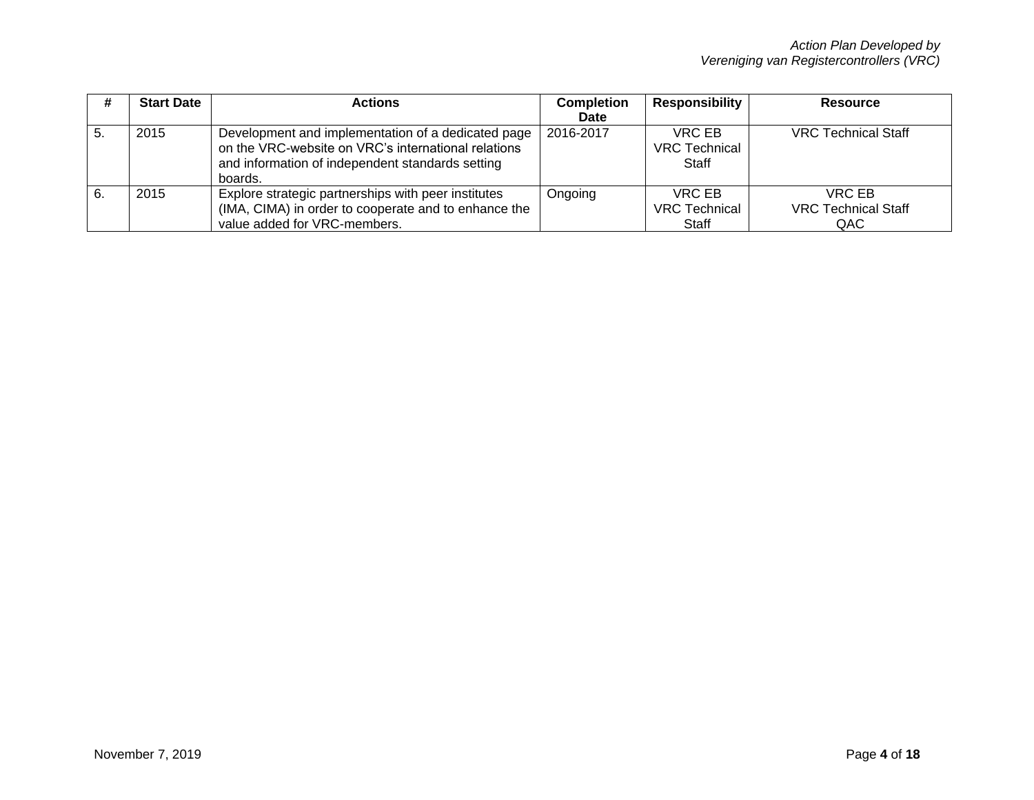|    | <b>Start Date</b> | <b>Actions</b>                                                                                                                                                           | <b>Completion</b> | <b>Responsibility</b>                   | <b>Resource</b>                             |
|----|-------------------|--------------------------------------------------------------------------------------------------------------------------------------------------------------------------|-------------------|-----------------------------------------|---------------------------------------------|
|    |                   |                                                                                                                                                                          | Date              |                                         |                                             |
|    | 2015              | Development and implementation of a dedicated page<br>on the VRC-website on VRC's international relations<br>and information of independent standards setting<br>boards. | 2016-2017         | VRC EB<br><b>VRC Technical</b><br>Staff | <b>VRC Technical Staff</b>                  |
| 6. | 2015              | Explore strategic partnerships with peer institutes<br>(IMA, CIMA) in order to cooperate and to enhance the<br>value added for VRC-members.                              | Ongoing           | VRC EB<br><b>VRC Technical</b><br>Staff | VRC EB<br><b>VRC Technical Staff</b><br>QAC |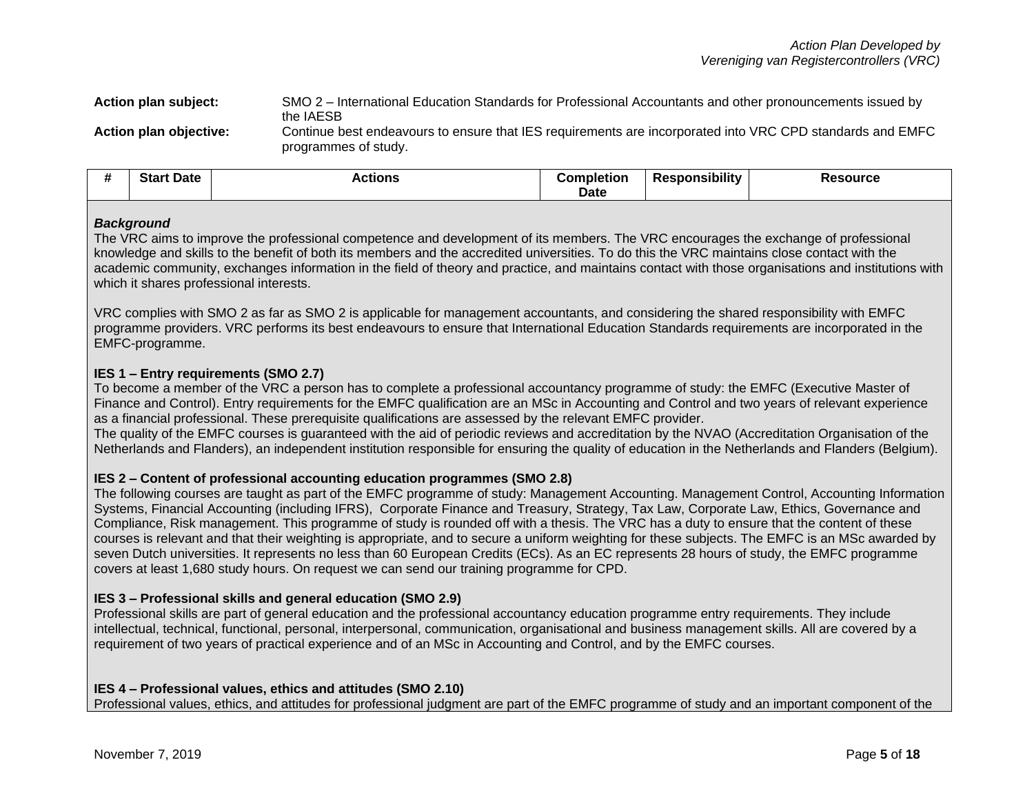**Action plan subject:** SMO 2 – International Education Standards for Professional Accountants and other pronouncements issued by the IAESB **Action plan objective:** Continue best endeavours to ensure that IES requirements are incorporated into VRC CPD standards and EMFC programmes of study.

|  | <br>π | C <sub>in</sub><br>Date<br>อเสเ | --- | Date | .<br>.<br>JIIIt | $-112-$ |
|--|-------|---------------------------------|-----|------|-----------------|---------|
|--|-------|---------------------------------|-----|------|-----------------|---------|

## *Background*

The VRC aims to improve the professional competence and development of its members. The VRC encourages the exchange of professional knowledge and skills to the benefit of both its members and the accredited universities. To do this the VRC maintains close contact with the academic community, exchanges information in the field of theory and practice, and maintains contact with those organisations and institutions with which it shares professional interests.

VRC complies with SMO 2 as far as SMO 2 is applicable for management accountants, and considering the shared responsibility with EMFC programme providers. VRC performs its best endeavours to ensure that International Education Standards requirements are incorporated in the EMFC-programme.

## **IES 1 – Entry requirements (SMO 2.7)**

To become a member of the VRC a person has to complete a professional accountancy programme of study: the EMFC (Executive Master of Finance and Control). Entry requirements for the EMFC qualification are an MSc in Accounting and Control and two years of relevant experience as a financial professional. These prerequisite qualifications are assessed by the relevant EMFC provider.

The quality of the EMFC courses is guaranteed with the aid of periodic reviews and accreditation by the NVAO (Accreditation Organisation of the Netherlands and Flanders), an independent institution responsible for ensuring the quality of education in the Netherlands and Flanders (Belgium).

## **IES 2 – Content of professional accounting education programmes (SMO 2.8)**

The following courses are taught as part of the EMFC programme of study: Management Accounting. Management Control, Accounting Information Systems, Financial Accounting (including IFRS), Corporate Finance and Treasury, Strategy, Tax Law, Corporate Law, Ethics, Governance and Compliance, Risk management. This programme of study is rounded off with a thesis. The VRC has a duty to ensure that the content of these courses is relevant and that their weighting is appropriate, and to secure a uniform weighting for these subjects. The EMFC is an MSc awarded by seven Dutch universities. It represents no less than 60 European Credits (ECs). As an EC represents 28 hours of study, the EMFC programme covers at least 1,680 study hours. On request we can send our training programme for CPD.

## **IES 3 – Professional skills and general education (SMO 2.9)**

Professional skills are part of general education and the professional accountancy education programme entry requirements. They include intellectual, technical, functional, personal, interpersonal, communication, organisational and business management skills. All are covered by a requirement of two years of practical experience and of an MSc in Accounting and Control, and by the EMFC courses.

## **IES 4 – Professional values, ethics and attitudes (SMO 2.10)**

Professional values, ethics, and attitudes for professional judgment are part of the EMFC programme of study and an important component of the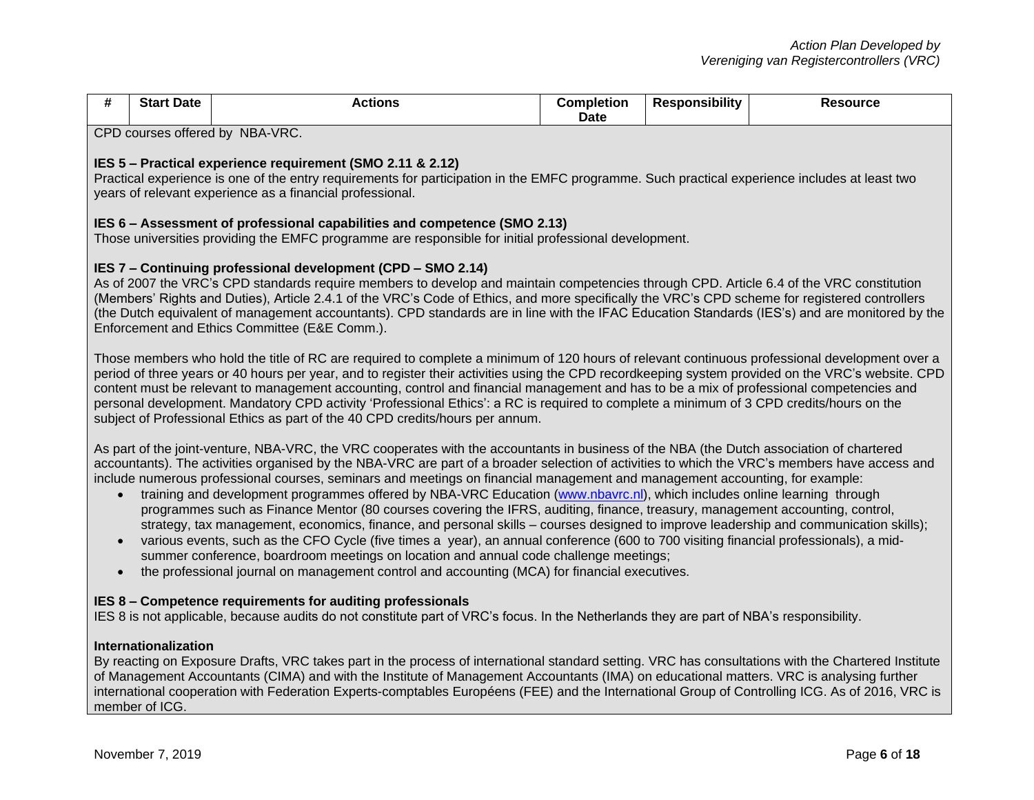| #                      | <b>Start Date</b>                                                                                                                                                                                                                                                                                                                                                                                                                                                                                                                                                                                                                                                            | <b>Actions</b>                                                                                                                                                                                                                                                                                                                                                                                                                                                                                                                                                                                                                                                                                                                                                                                                                                                                                                                                                                                                                                                                                                                                                       | <b>Completion</b><br>Date | <b>Responsibility</b> | <b>Resource</b> |
|------------------------|------------------------------------------------------------------------------------------------------------------------------------------------------------------------------------------------------------------------------------------------------------------------------------------------------------------------------------------------------------------------------------------------------------------------------------------------------------------------------------------------------------------------------------------------------------------------------------------------------------------------------------------------------------------------------|----------------------------------------------------------------------------------------------------------------------------------------------------------------------------------------------------------------------------------------------------------------------------------------------------------------------------------------------------------------------------------------------------------------------------------------------------------------------------------------------------------------------------------------------------------------------------------------------------------------------------------------------------------------------------------------------------------------------------------------------------------------------------------------------------------------------------------------------------------------------------------------------------------------------------------------------------------------------------------------------------------------------------------------------------------------------------------------------------------------------------------------------------------------------|---------------------------|-----------------------|-----------------|
|                        |                                                                                                                                                                                                                                                                                                                                                                                                                                                                                                                                                                                                                                                                              | CPD courses offered by NBA-VRC.                                                                                                                                                                                                                                                                                                                                                                                                                                                                                                                                                                                                                                                                                                                                                                                                                                                                                                                                                                                                                                                                                                                                      |                           |                       |                 |
|                        | IES 5 - Practical experience requirement (SMO 2.11 & 2.12)<br>Practical experience is one of the entry requirements for participation in the EMFC programme. Such practical experience includes at least two<br>years of relevant experience as a financial professional.                                                                                                                                                                                                                                                                                                                                                                                                    |                                                                                                                                                                                                                                                                                                                                                                                                                                                                                                                                                                                                                                                                                                                                                                                                                                                                                                                                                                                                                                                                                                                                                                      |                           |                       |                 |
|                        |                                                                                                                                                                                                                                                                                                                                                                                                                                                                                                                                                                                                                                                                              | IES 6 – Assessment of professional capabilities and competence (SMO 2.13)<br>Those universities providing the EMFC programme are responsible for initial professional development.                                                                                                                                                                                                                                                                                                                                                                                                                                                                                                                                                                                                                                                                                                                                                                                                                                                                                                                                                                                   |                           |                       |                 |
|                        |                                                                                                                                                                                                                                                                                                                                                                                                                                                                                                                                                                                                                                                                              | IES 7 - Continuing professional development (CPD - SMO 2.14)<br>As of 2007 the VRC's CPD standards require members to develop and maintain competencies through CPD. Article 6.4 of the VRC constitution<br>(Members' Rights and Duties), Article 2.4.1 of the VRC's Code of Ethics, and more specifically the VRC's CPD scheme for registered controllers<br>(the Dutch equivalent of management accountants). CPD standards are in line with the IFAC Education Standards (IES's) and are monitored by the<br>Enforcement and Ethics Committee (E&E Comm.).                                                                                                                                                                                                                                                                                                                                                                                                                                                                                                                                                                                                        |                           |                       |                 |
|                        | Those members who hold the title of RC are required to complete a minimum of 120 hours of relevant continuous professional development over a<br>period of three years or 40 hours per year, and to register their activities using the CPD recordkeeping system provided on the VRC's website. CPD<br>content must be relevant to management accounting, control and financial management and has to be a mix of professional competencies and<br>personal development. Mandatory CPD activity 'Professional Ethics': a RC is required to complete a minimum of 3 CPD credits/hours on the<br>subject of Professional Ethics as part of the 40 CPD credits/hours per annum. |                                                                                                                                                                                                                                                                                                                                                                                                                                                                                                                                                                                                                                                                                                                                                                                                                                                                                                                                                                                                                                                                                                                                                                      |                           |                       |                 |
| $\bullet$<br>$\bullet$ |                                                                                                                                                                                                                                                                                                                                                                                                                                                                                                                                                                                                                                                                              | As part of the joint-venture, NBA-VRC, the VRC cooperates with the accountants in business of the NBA (the Dutch association of chartered<br>accountants). The activities organised by the NBA-VRC are part of a broader selection of activities to which the VRC's members have access and<br>include numerous professional courses, seminars and meetings on financial management and management accounting, for example:<br>training and development programmes offered by NBA-VRC Education (www.nbavrc.nl), which includes online learning through<br>programmes such as Finance Mentor (80 courses covering the IFRS, auditing, finance, treasury, management accounting, control,<br>strategy, tax management, economics, finance, and personal skills – courses designed to improve leadership and communication skills);<br>various events, such as the CFO Cycle (five times a year), an annual conference (600 to 700 visiting financial professionals), a mid-<br>summer conference, boardroom meetings on location and annual code challenge meetings;<br>the professional journal on management control and accounting (MCA) for financial executives. |                           |                       |                 |
|                        |                                                                                                                                                                                                                                                                                                                                                                                                                                                                                                                                                                                                                                                                              | IES 8 – Competence requirements for auditing professionals<br>IES 8 is not applicable, because audits do not constitute part of VRC's focus. In the Netherlands they are part of NBA's responsibility.                                                                                                                                                                                                                                                                                                                                                                                                                                                                                                                                                                                                                                                                                                                                                                                                                                                                                                                                                               |                           |                       |                 |

## **Internationalization**

By reacting on Exposure Drafts, VRC takes part in the process of international standard setting. VRC has consultations with the Chartered Institute of Management Accountants (CIMA) and with the Institute of Management Accountants (IMA) on educational matters. VRC is analysing further international cooperation with Federation Experts-comptables Européens (FEE) and the International Group of Controlling ICG. As of 2016, VRC is member of ICG.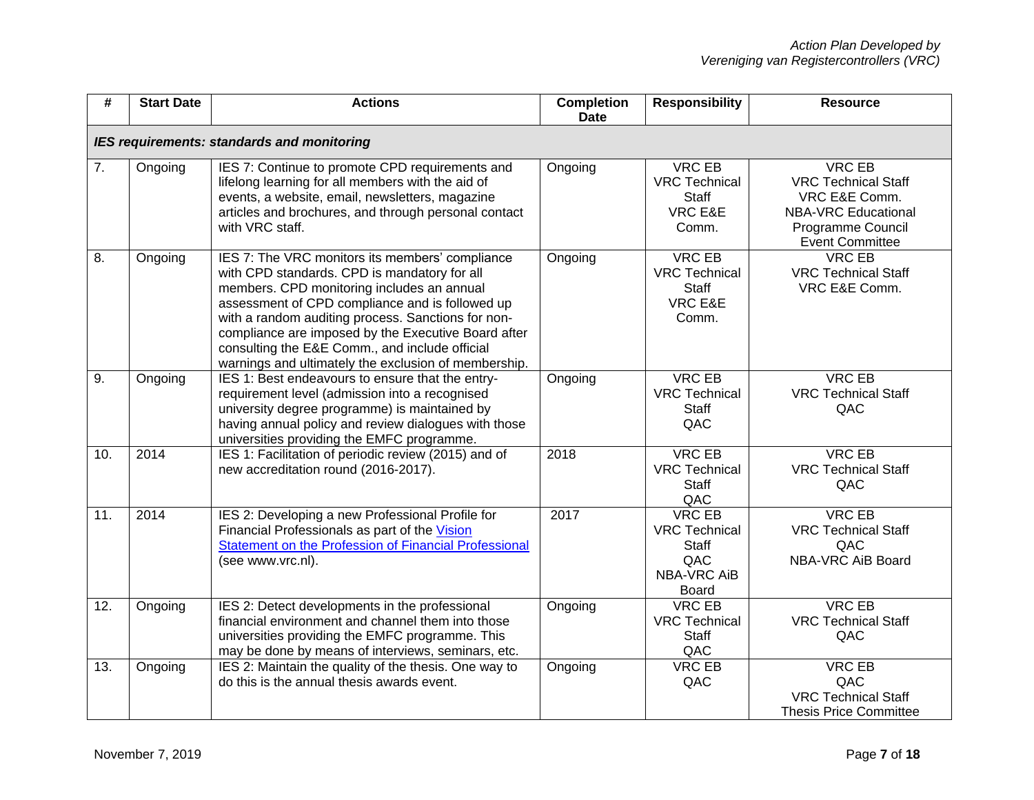| #                | <b>Start Date</b> | <b>Actions</b>                                                                                                                                                                                                                                                                                                                                                                                                          | <b>Completion</b><br><b>Date</b> | <b>Responsibility</b>                                                                | <b>Resource</b>                                                                                                                           |
|------------------|-------------------|-------------------------------------------------------------------------------------------------------------------------------------------------------------------------------------------------------------------------------------------------------------------------------------------------------------------------------------------------------------------------------------------------------------------------|----------------------------------|--------------------------------------------------------------------------------------|-------------------------------------------------------------------------------------------------------------------------------------------|
|                  |                   | IES requirements: standards and monitoring                                                                                                                                                                                                                                                                                                                                                                              |                                  |                                                                                      |                                                                                                                                           |
| $\overline{7}$ . | Ongoing           | IES 7: Continue to promote CPD requirements and<br>lifelong learning for all members with the aid of<br>events, a website, email, newsletters, magazine<br>articles and brochures, and through personal contact<br>with VRC staff.                                                                                                                                                                                      | Ongoing                          | <b>VRC EB</b><br><b>VRC Technical</b><br><b>Staff</b><br>VRC E&E<br>Comm.            | <b>VRC EB</b><br><b>VRC Technical Staff</b><br>VRC E&E Comm.<br><b>NBA-VRC Educational</b><br>Programme Council<br><b>Event Committee</b> |
| 8.               | Ongoing           | IES 7: The VRC monitors its members' compliance<br>with CPD standards. CPD is mandatory for all<br>members. CPD monitoring includes an annual<br>assessment of CPD compliance and is followed up<br>with a random auditing process. Sanctions for non-<br>compliance are imposed by the Executive Board after<br>consulting the E&E Comm., and include official<br>warnings and ultimately the exclusion of membership. | Ongoing                          | <b>VRC EB</b><br><b>VRC Technical</b><br>Staff<br><b>VRC E&amp;E</b><br>Comm.        | <b>VRC EB</b><br><b>VRC Technical Staff</b><br>VRC E&E Comm.                                                                              |
| 9.               | Ongoing           | IES 1: Best endeavours to ensure that the entry-<br>requirement level (admission into a recognised<br>university degree programme) is maintained by<br>having annual policy and review dialogues with those<br>universities providing the EMFC programme.                                                                                                                                                               | Ongoing                          | <b>VRC EB</b><br><b>VRC Technical</b><br>Staff<br>QAC                                | <b>VRC EB</b><br><b>VRC Technical Staff</b><br>QAC                                                                                        |
| 10.              | 2014              | IES 1: Facilitation of periodic review (2015) and of<br>new accreditation round (2016-2017).                                                                                                                                                                                                                                                                                                                            | 2018                             | <b>VRC EB</b><br><b>VRC Technical</b><br><b>Staff</b><br>QAC                         | <b>VRC EB</b><br><b>VRC Technical Staff</b><br>QAC                                                                                        |
| 11.              | 2014              | IES 2: Developing a new Professional Profile for<br>Financial Professionals as part of the Vision<br>Statement on the Profession of Financial Professional<br>(see www.vrc.nl).                                                                                                                                                                                                                                         | 2017                             | <b>VRC EB</b><br><b>VRC Technical</b><br>Staff<br>QAC<br><b>NBA-VRC AiB</b><br>Board | <b>VRC EB</b><br><b>VRC Technical Staff</b><br>QAC<br>NBA-VRC AiB Board                                                                   |
| 12.              | Ongoing           | IES 2: Detect developments in the professional<br>financial environment and channel them into those<br>universities providing the EMFC programme. This<br>may be done by means of interviews, seminars, etc.                                                                                                                                                                                                            | Ongoing                          | <b>VRC EB</b><br><b>VRC Technical</b><br><b>Staff</b><br>QAC                         | <b>VRC EB</b><br><b>VRC Technical Staff</b><br>QAC                                                                                        |
| 13.              | Ongoing           | IES 2: Maintain the quality of the thesis. One way to<br>do this is the annual thesis awards event.                                                                                                                                                                                                                                                                                                                     | Ongoing                          | <b>VRC EB</b><br>QAC                                                                 | <b>VRC EB</b><br>QAC<br><b>VRC Technical Staff</b><br><b>Thesis Price Committee</b>                                                       |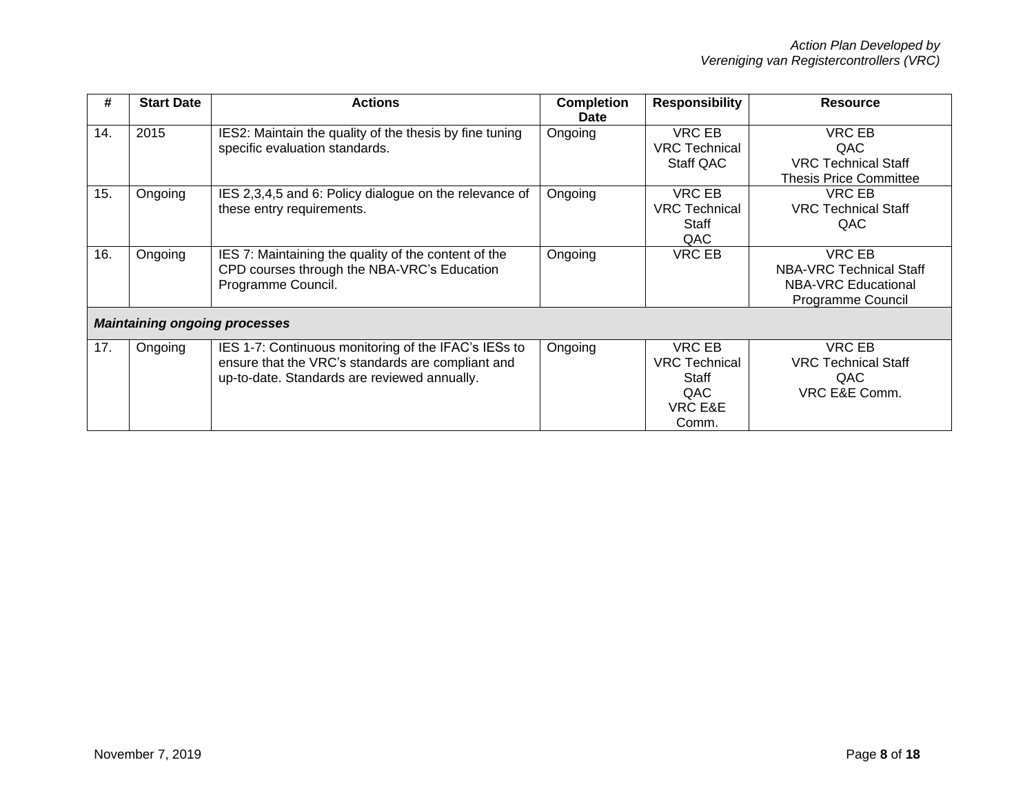| #   | <b>Start Date</b> | <b>Actions</b>                                                                                                                                            | <b>Completion</b><br><b>Date</b> | <b>Responsibility</b>                                              | <b>Resource</b>                                                                                    |
|-----|-------------------|-----------------------------------------------------------------------------------------------------------------------------------------------------------|----------------------------------|--------------------------------------------------------------------|----------------------------------------------------------------------------------------------------|
| 14. | 2015              | IES2: Maintain the quality of the thesis by fine tuning<br>specific evaluation standards.                                                                 | Ongoing                          | VRC EB<br><b>VRC</b> Technical<br>Staff QAC                        | <b>VRC EB</b><br>QAC<br><b>VRC Technical Staff</b><br><b>Thesis Price Committee</b>                |
| 15. | Ongoing           | IES 2,3,4,5 and 6: Policy dialogue on the relevance of<br>these entry requirements.                                                                       | Ongoing                          | VRC EB<br><b>VRC</b> Technical<br>Staff<br>QAC                     | VRC EB<br><b>VRC Technical Staff</b><br>QAC                                                        |
| 16. | Ongoing           | IES 7: Maintaining the quality of the content of the<br>CPD courses through the NBA-VRC's Education<br>Programme Council.                                 | Ongoing                          | VRC EB                                                             | <b>VRC EB</b><br>NBA-VRC Technical Staff<br><b>NBA-VRC Educational</b><br><b>Programme Council</b> |
|     |                   | <b>Maintaining ongoing processes</b>                                                                                                                      |                                  |                                                                    |                                                                                                    |
| 17. | Ongoing           | IES 1-7: Continuous monitoring of the IFAC's IESs to<br>ensure that the VRC's standards are compliant and<br>up-to-date. Standards are reviewed annually. | Ongoing                          | VRC EB<br><b>VRC</b> Technical<br>Staff<br>QAC<br>VRC E&E<br>Comm. | <b>VRC EB</b><br><b>VRC Technical Staff</b><br>QAC<br>VRC E&E Comm.                                |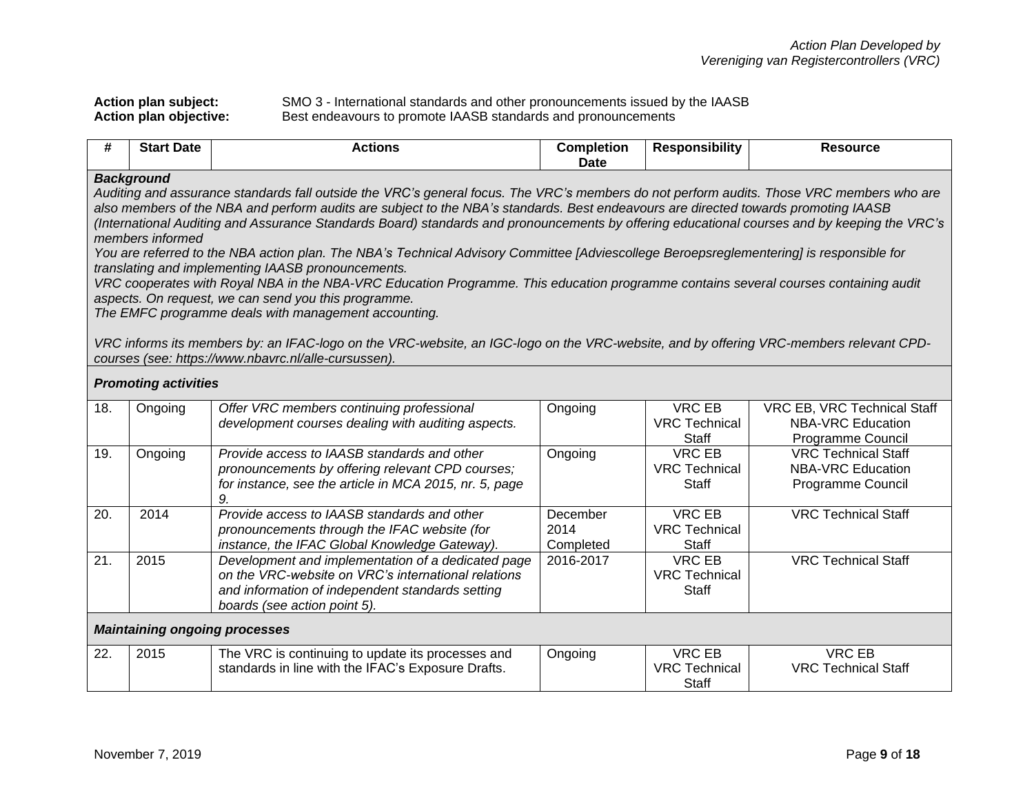|  | Action plan subject:          |  |
|--|-------------------------------|--|
|  | <b>Action plan objective:</b> |  |

 $\overline{\phantom{0}}$ 

**Action plan subject:** SMO 3 - International standards and other pronouncements issued by the IAASB Action plan objective: **Best endeavours to promote IAASB standards** and pronouncements

| #   | <b>Start Date</b>                                                                                                                                                                                                                                                                                                                                                                                                                                                                                                                                                                                                                                                                                                                                                                                                                                                                                                                                                                                                                                                                                                                     | <b>Actions</b>                                                                                                                                                                                | <b>Completion</b>             | <b>Responsibility</b>                                 | <b>Resource</b>                                                              |
|-----|---------------------------------------------------------------------------------------------------------------------------------------------------------------------------------------------------------------------------------------------------------------------------------------------------------------------------------------------------------------------------------------------------------------------------------------------------------------------------------------------------------------------------------------------------------------------------------------------------------------------------------------------------------------------------------------------------------------------------------------------------------------------------------------------------------------------------------------------------------------------------------------------------------------------------------------------------------------------------------------------------------------------------------------------------------------------------------------------------------------------------------------|-----------------------------------------------------------------------------------------------------------------------------------------------------------------------------------------------|-------------------------------|-------------------------------------------------------|------------------------------------------------------------------------------|
|     |                                                                                                                                                                                                                                                                                                                                                                                                                                                                                                                                                                                                                                                                                                                                                                                                                                                                                                                                                                                                                                                                                                                                       |                                                                                                                                                                                               | <b>Date</b>                   |                                                       |                                                                              |
|     | <b>Background</b><br>Auditing and assurance standards fall outside the VRC's general focus. The VRC's members do not perform audits. Those VRC members who are<br>also members of the NBA and perform audits are subject to the NBA's standards. Best endeavours are directed towards promoting IAASB<br>(International Auditing and Assurance Standards Board) standards and pronouncements by offering educational courses and by keeping the VRC's<br>members informed<br>You are referred to the NBA action plan. The NBA's Technical Advisory Committee [Adviescollege Beroepsreglementering] is responsible for<br>translating and implementing IAASB pronouncements.<br>VRC cooperates with Royal NBA in the NBA-VRC Education Programme. This education programme contains several courses containing audit<br>aspects. On request, we can send you this programme.<br>The EMFC programme deals with management accounting.<br>VRC informs its members by: an IFAC-logo on the VRC-website, an IGC-logo on the VRC-website, and by offering VRC-members relevant CPD-<br>courses (see: https://www.nbavrc.nl/alle-cursussen). |                                                                                                                                                                                               |                               |                                                       |                                                                              |
|     | <b>Promoting activities</b>                                                                                                                                                                                                                                                                                                                                                                                                                                                                                                                                                                                                                                                                                                                                                                                                                                                                                                                                                                                                                                                                                                           |                                                                                                                                                                                               |                               |                                                       |                                                                              |
| 18. | Ongoing                                                                                                                                                                                                                                                                                                                                                                                                                                                                                                                                                                                                                                                                                                                                                                                                                                                                                                                                                                                                                                                                                                                               | Offer VRC members continuing professional<br>development courses dealing with auditing aspects.                                                                                               | Ongoing                       | <b>VRC EB</b><br><b>VRC Technical</b><br>Staff        | VRC EB, VRC Technical Staff<br><b>NBA-VRC Education</b><br>Programme Council |
| 19. | Ongoing                                                                                                                                                                                                                                                                                                                                                                                                                                                                                                                                                                                                                                                                                                                                                                                                                                                                                                                                                                                                                                                                                                                               | Provide access to IAASB standards and other<br>pronouncements by offering relevant CPD courses;<br>for instance, see the article in MCA 2015, nr. 5, page<br>9.                               | Ongoing                       | <b>VRC EB</b><br><b>VRC Technical</b><br>Staff        | <b>VRC Technical Staff</b><br><b>NBA-VRC Education</b><br>Programme Council  |
| 20. | 2014                                                                                                                                                                                                                                                                                                                                                                                                                                                                                                                                                                                                                                                                                                                                                                                                                                                                                                                                                                                                                                                                                                                                  | Provide access to IAASB standards and other<br>pronouncements through the IFAC website (for<br>instance, the IFAC Global Knowledge Gateway).                                                  | December<br>2014<br>Completed | <b>VRC EB</b><br><b>VRC Technical</b><br>Staff        | <b>VRC Technical Staff</b>                                                   |
| 21. | 2015                                                                                                                                                                                                                                                                                                                                                                                                                                                                                                                                                                                                                                                                                                                                                                                                                                                                                                                                                                                                                                                                                                                                  | Development and implementation of a dedicated page<br>on the VRC-website on VRC's international relations<br>and information of independent standards setting<br>boards (see action point 5). | 2016-2017                     | <b>VRC EB</b><br><b>VRC</b> Technical<br><b>Staff</b> | <b>VRC Technical Staff</b>                                                   |
|     | <b>Maintaining ongoing processes</b>                                                                                                                                                                                                                                                                                                                                                                                                                                                                                                                                                                                                                                                                                                                                                                                                                                                                                                                                                                                                                                                                                                  |                                                                                                                                                                                               |                               |                                                       |                                                                              |
| 22. | 2015                                                                                                                                                                                                                                                                                                                                                                                                                                                                                                                                                                                                                                                                                                                                                                                                                                                                                                                                                                                                                                                                                                                                  | The VRC is continuing to update its processes and<br>standards in line with the IFAC's Exposure Drafts.                                                                                       | Ongoing                       | <b>VRC EB</b><br><b>VRC Technical</b><br>Staff        | <b>VRC EB</b><br><b>VRC Technical Staff</b>                                  |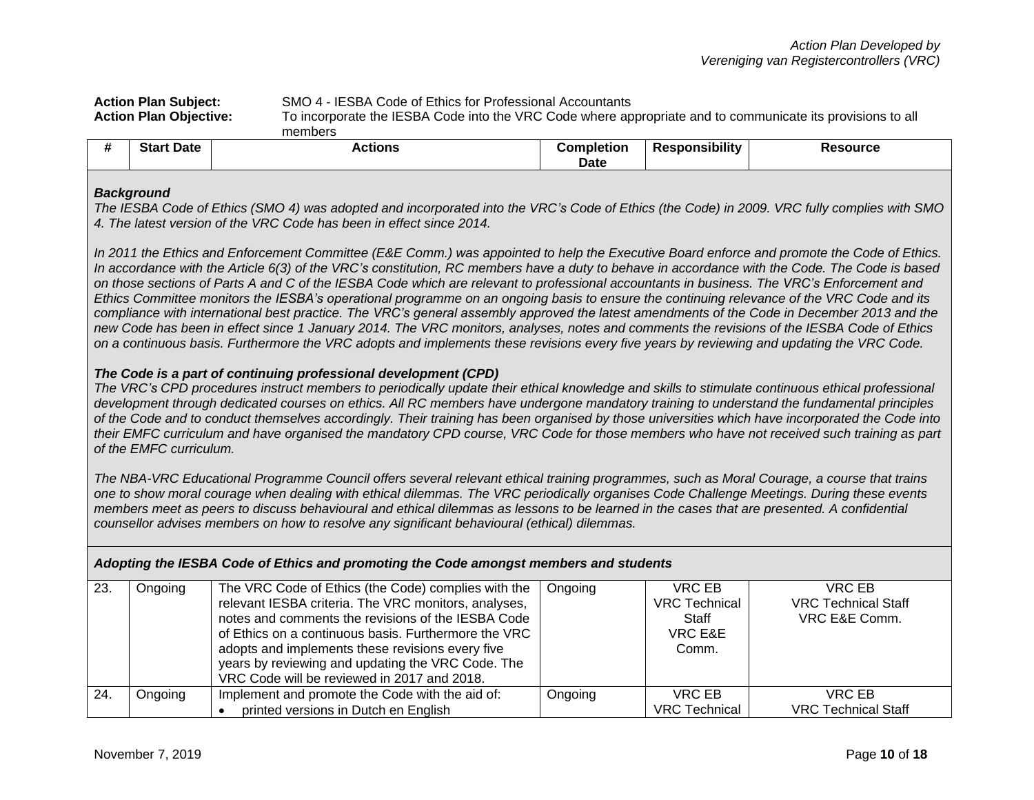| SMO 4 - IESBA Code of Ethics for Professional Accountants<br><b>Action Plan Subject:</b>                                                    |                |                   |                |          |
|---------------------------------------------------------------------------------------------------------------------------------------------|----------------|-------------------|----------------|----------|
| To incorporate the IESBA Code into the VRC Code where appropriate and to communicate its provisions to all<br><b>Action Plan Objective:</b> |                |                   |                |          |
|                                                                                                                                             | members        |                   |                |          |
| <b>Start Date</b>                                                                                                                           | <b>Actions</b> | <b>Completion</b> | Responsibility | Resource |

| <b>Background</b> |
|-------------------|
|                   |

*The IESBA Code of Ethics (SMO 4) was adopted and incorporated into the VRC's Code of Ethics (the Code) in 2009. VRC fully complies with SMO 4. The latest version of the VRC Code has been in effect since 2014.*

**Date**

In 2011 the Ethics and Enforcement Committee (E&E Comm.) was appointed to help the Executive Board enforce and promote the Code of Ethics. *In accordance with the Article 6(3) of the VRC's constitution, RC members have a duty to behave in accordance with the Code. The Code is based on those sections of Parts A and C of the IESBA Code which are relevant to professional accountants in business. The VRC's Enforcement and Ethics Committee monitors the IESBA's operational programme on an ongoing basis to ensure the continuing relevance of the VRC Code and its compliance with international best practice. The VRC's general assembly approved the latest amendments of the Code in December 2013 and the new Code has been in effect since 1 January 2014. The VRC monitors, analyses, notes and comments the revisions of the IESBA Code of Ethics on a continuous basis. Furthermore the VRC adopts and implements these revisions every five years by reviewing and updating the VRC Code.*

## *The Code is a part of continuing professional development (CPD)*

*The VRC's CPD procedures instruct members to periodically update their ethical knowledge and skills to stimulate continuous ethical professional development through dedicated courses on ethics. All RC members have undergone mandatory training to understand the fundamental principles of the Code and to conduct themselves accordingly. Their training has been organised by those universities which have incorporated the Code into their EMFC curriculum and have organised the mandatory CPD course, VRC Code for those members who have not received such training as part of the EMFC curriculum.*

*The NBA-VRC Educational Programme Council offers several relevant ethical training programmes, such as Moral Courage, a course that trains one to show moral courage when dealing with ethical dilemmas. The VRC periodically organises Code Challenge Meetings. During these events members meet as peers to discuss behavioural and ethical dilemmas as lessons to be learned in the cases that are presented. A confidential counsellor advises members on how to resolve any significant behavioural (ethical) dilemmas.* 

*Adopting the IESBA Code of Ethics and promoting the Code amongst members and students* 23. Ongoing The VRC Code of Ethics (the Code) complies with the relevant IESBA criteria. The VRC monitors, analyses, notes and comments the revisions of the IESBA Code Ongoing VRC EB VRC Technical **Staff** VRC EB VRC Technical Staff VRC E&E Comm.

|             |         | of Ethics on a continuous basis. Furthermore the VRC<br>adopts and implements these revisions every five<br>years by reviewing and updating the VRC Code. The<br>VRC Code will be reviewed in 2017 and 2018. |         | VRC E&E<br>Comm.     |                            |
|-------------|---------|--------------------------------------------------------------------------------------------------------------------------------------------------------------------------------------------------------------|---------|----------------------|----------------------------|
| $\vert$ 24. | Ongoing | Implement and promote the Code with the aid of:                                                                                                                                                              | Ongoing | VRC EB               | VRC EB                     |
|             |         | printed versions in Dutch en English                                                                                                                                                                         |         | <b>VRC</b> Technical | <b>VRC Technical Staff</b> |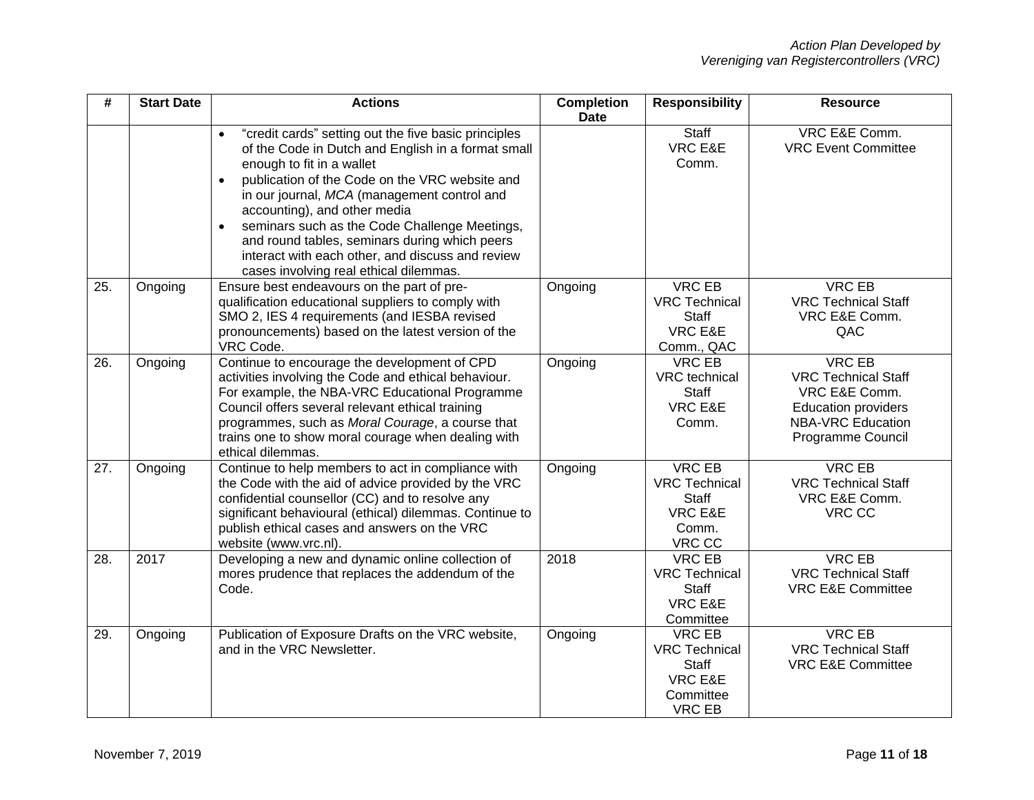| #   | <b>Start Date</b> | <b>Actions</b>                                                                                                                                                                                                                                                                                                                                                                                                                                                                                                  | <b>Completion</b><br><b>Date</b> | <b>Responsibility</b>                                                                          | <b>Resource</b>                                                                                                                             |
|-----|-------------------|-----------------------------------------------------------------------------------------------------------------------------------------------------------------------------------------------------------------------------------------------------------------------------------------------------------------------------------------------------------------------------------------------------------------------------------------------------------------------------------------------------------------|----------------------------------|------------------------------------------------------------------------------------------------|---------------------------------------------------------------------------------------------------------------------------------------------|
|     |                   | "credit cards" setting out the five basic principles<br>$\bullet$<br>of the Code in Dutch and English in a format small<br>enough to fit in a wallet<br>publication of the Code on the VRC website and<br>$\bullet$<br>in our journal, MCA (management control and<br>accounting), and other media<br>seminars such as the Code Challenge Meetings,<br>$\bullet$<br>and round tables, seminars during which peers<br>interact with each other, and discuss and review<br>cases involving real ethical dilemmas. |                                  | Staff<br>VRC E&E<br>Comm.                                                                      | VRC E&E Comm.<br><b>VRC Event Committee</b>                                                                                                 |
| 25. | Ongoing           | Ensure best endeavours on the part of pre-<br>qualification educational suppliers to comply with<br>SMO 2, IES 4 requirements (and IESBA revised<br>pronouncements) based on the latest version of the<br>VRC Code.                                                                                                                                                                                                                                                                                             | Ongoing                          | <b>VRC EB</b><br><b>VRC Technical</b><br><b>Staff</b><br>VRC E&E<br>Comm., QAC                 | <b>VRC EB</b><br><b>VRC Technical Staff</b><br>VRC E&E Comm.<br>QAC                                                                         |
| 26. | Ongoing           | Continue to encourage the development of CPD<br>activities involving the Code and ethical behaviour.<br>For example, the NBA-VRC Educational Programme<br>Council offers several relevant ethical training<br>programmes, such as Moral Courage, a course that<br>trains one to show moral courage when dealing with<br>ethical dilemmas.                                                                                                                                                                       | Ongoing                          | <b>VRC EB</b><br><b>VRC</b> technical<br><b>Staff</b><br>VRC E&E<br>Comm.                      | <b>VRC EB</b><br><b>VRC Technical Staff</b><br>VRC E&E Comm.<br><b>Education providers</b><br><b>NBA-VRC Education</b><br>Programme Council |
| 27. | Ongoing           | Continue to help members to act in compliance with<br>the Code with the aid of advice provided by the VRC<br>confidential counsellor (CC) and to resolve any<br>significant behavioural (ethical) dilemmas. Continue to<br>publish ethical cases and answers on the VRC<br>website (www.vrc.nl).                                                                                                                                                                                                                | Ongoing                          | <b>VRC EB</b><br><b>VRC Technical</b><br><b>Staff</b><br><b>VRC E&amp;E</b><br>Comm.<br>VRC CC | <b>VRC EB</b><br><b>VRC Technical Staff</b><br>VRC E&E Comm.<br>VRC CC                                                                      |
| 28. | 2017              | Developing a new and dynamic online collection of<br>mores prudence that replaces the addendum of the<br>Code.                                                                                                                                                                                                                                                                                                                                                                                                  | 2018                             | <b>VRC EB</b><br><b>VRC Technical</b><br><b>Staff</b><br>VRC E&E<br>Committee                  | <b>VRC EB</b><br><b>VRC Technical Staff</b><br><b>VRC E&amp;E Committee</b>                                                                 |
| 29. | Ongoing           | Publication of Exposure Drafts on the VRC website,<br>and in the VRC Newsletter.                                                                                                                                                                                                                                                                                                                                                                                                                                | Ongoing                          | <b>VRC EB</b><br><b>VRC Technical</b><br>Staff<br>VRC E&E<br>Committee<br><b>VRC EB</b>        | <b>VRC EB</b><br><b>VRC Technical Staff</b><br><b>VRC E&amp;E Committee</b>                                                                 |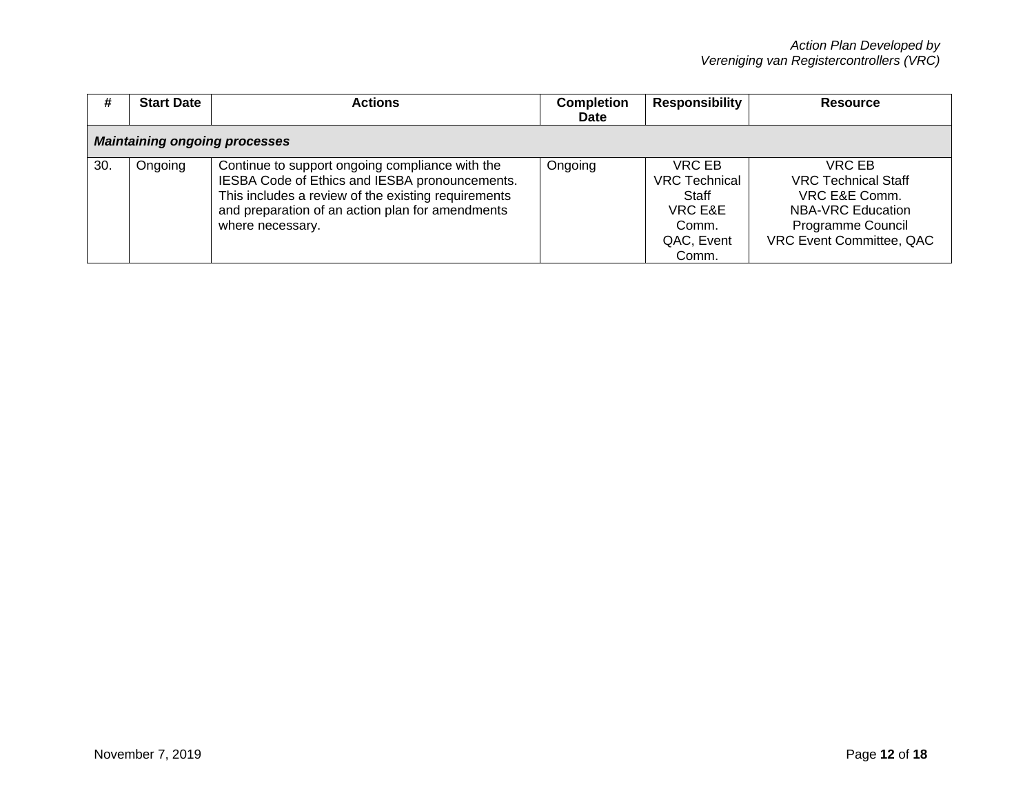| #   | <b>Start Date</b>                    | <b>Actions</b>                                                                                                                                                                                                                   | <b>Completion</b><br><b>Date</b> | <b>Responsibility</b>                                                              | <b>Resource</b>                                                                                                             |  |  |
|-----|--------------------------------------|----------------------------------------------------------------------------------------------------------------------------------------------------------------------------------------------------------------------------------|----------------------------------|------------------------------------------------------------------------------------|-----------------------------------------------------------------------------------------------------------------------------|--|--|
|     | <b>Maintaining ongoing processes</b> |                                                                                                                                                                                                                                  |                                  |                                                                                    |                                                                                                                             |  |  |
| 30. | Ongoing                              | Continue to support ongoing compliance with the<br>IESBA Code of Ethics and IESBA pronouncements.<br>This includes a review of the existing requirements<br>and preparation of an action plan for amendments<br>where necessary. | Ongoing                          | VRC EB<br><b>VRC Technical</b><br>Staff<br>VRC E&E<br>Comm.<br>QAC, Event<br>Comm. | VRC EB<br><b>VRC Technical Staff</b><br>VRC E&E Comm.<br>NBA-VRC Education<br>Programme Council<br>VRC Event Committee, QAC |  |  |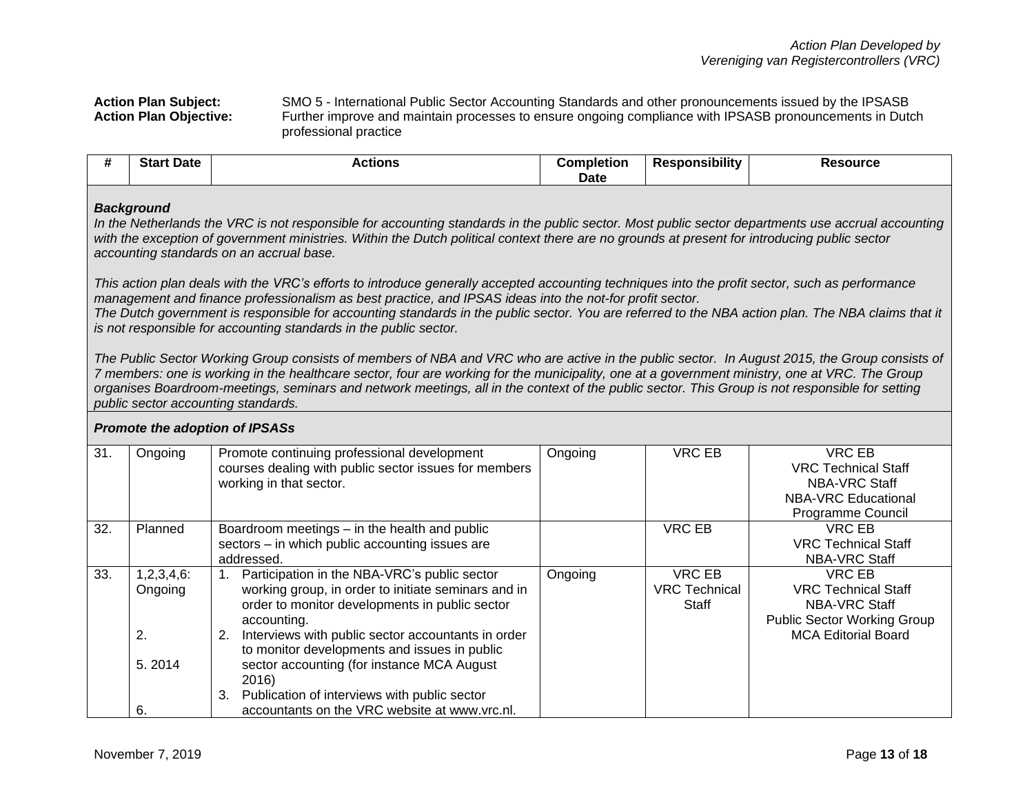### **Action Plan Subject:** SMO 5 - International Public Sector Accounting Standards and other pronouncements issued by the IPSASB **Action Plan Objective:** Further improve and maintain processes to ensure ongoing compliance with IPSASB pronouncements in Dutch professional practice

| <br>$C_{\text{tot}}$<br>Date<br>الەرد | ਼≎tions<br>$\cdots$ | Completion | <br>ີ່ ^sponsibility<br><b>Rest</b> | Resource |
|---------------------------------------|---------------------|------------|-------------------------------------|----------|
|                                       |                     | Date       |                                     |          |

### *Background*

*In the Netherlands the VRC is not responsible for accounting standards in the public sector. Most public sector departments use accrual accounting with the exception of government ministries. Within the Dutch political context there are no grounds at present for introducing public sector accounting standards on an accrual base.*

*This action plan deals with the VRC's efforts to introduce generally accepted accounting techniques into the profit sector, such as performance management and finance professionalism as best practice, and IPSAS ideas into the not-for profit sector.*

*The Dutch government is responsible for accounting standards in the public sector. You are referred to the NBA action plan. The NBA claims that it is not responsible for accounting standards in the public sector.* 

*The Public Sector Working Group consists of members of NBA and VRC who are active in the public sector. In August 2015, the Group consists of 7 members: one is working in the healthcare sector, four are working for the municipality, one at a government ministry, one at VRC. The Group organises Boardroom-meetings, seminars and network meetings, all in the context of the public sector. This Group is not responsible for setting public sector accounting standards.*

#### 31. | Ongoing | Promote continuing professional development courses dealing with public sector issues for members working in that sector. Ongoing VRC EB VRC EB VRC Technical Staff NBA-VRC Staff NBA-VRC Educational Programme Council 32. Planned | Boardroom meetings – in the health and public sectors – in which public accounting issues are addressed. VRC EB VRC EB VRC Technical Staff NBA-VRC Staff  $33. \quad 1,2,3,4,6:$ Ongoing 2. 5. 2014 6. 1. Participation in the NBA-VRC's public sector working group, in order to initiate seminars and in order to monitor developments in public sector accounting. 2. Interviews with public sector accountants in order to monitor developments and issues in public sector accounting (for instance MCA August 2016) 3. Publication of interviews with public sector accountants on the VRC website at www.vrc.nl. Ongoing VRC EB VRC Technical **Staff** VRC EB VRC Technical Staff NBA-VRC Staff Public Sector Working Group MCA Editorial Board

## *Promote the adoption of IPSASs*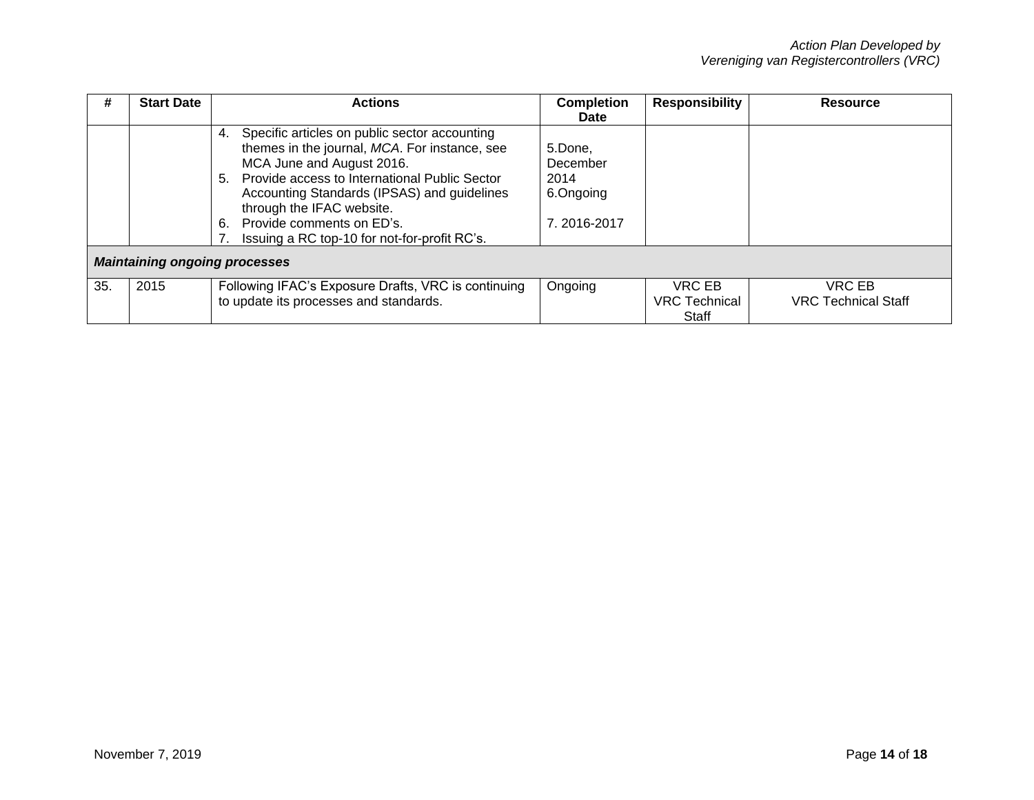| #   | <b>Start Date</b>                    | <b>Actions</b>                                                                                                                                                                                                                                                                                                                                    | <b>Completion</b><br><b>Date</b>                        | <b>Responsibility</b>                   | Resource                             |
|-----|--------------------------------------|---------------------------------------------------------------------------------------------------------------------------------------------------------------------------------------------------------------------------------------------------------------------------------------------------------------------------------------------------|---------------------------------------------------------|-----------------------------------------|--------------------------------------|
|     |                                      | Specific articles on public sector accounting<br>4.<br>themes in the journal, MCA. For instance, see<br>MCA June and August 2016.<br>5. Provide access to International Public Sector<br>Accounting Standards (IPSAS) and guidelines<br>through the IFAC website.<br>6. Provide comments on ED's.<br>Issuing a RC top-10 for not-for-profit RC's. | 5.Done.<br>December<br>2014<br>6.Ongoing<br>7.2016-2017 |                                         |                                      |
|     | <b>Maintaining ongoing processes</b> |                                                                                                                                                                                                                                                                                                                                                   |                                                         |                                         |                                      |
| 35. | 2015                                 | Following IFAC's Exposure Drafts, VRC is continuing<br>to update its processes and standards.                                                                                                                                                                                                                                                     | Ongoing                                                 | VRC EB<br><b>VRC</b> Technical<br>Staff | VRC EB<br><b>VRC Technical Staff</b> |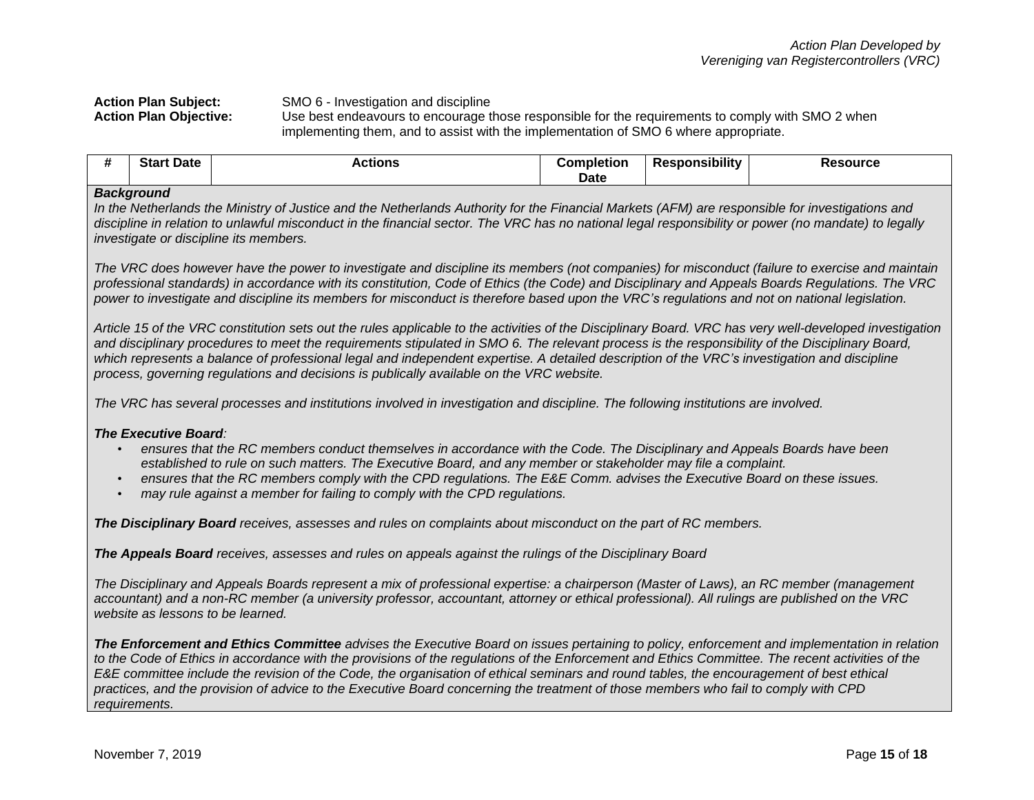**Action Plan Subject:** SMO 6 - Investigation and discipline

**Action Plan Objective:** Use best endeavours to encourage those responsible for the requirements to comply with SMO 2 when implementing them, and to assist with the implementation of SMO 6 where appropriate.

| <br><b>Stan</b><br>Date | Actions | Completion | <br>Responsibility | Resource |
|-------------------------|---------|------------|--------------------|----------|
|                         |         | Date       |                    |          |

## *Background*

*In the Netherlands the Ministry of Justice and the Netherlands Authority for the Financial Markets (AFM) are responsible for investigations and discipline in relation to unlawful misconduct in the financial sector. The VRC has no national legal responsibility or power (no mandate) to legally investigate or discipline its members.*

*The VRC does however have the power to investigate and discipline its members (not companies) for misconduct (failure to exercise and maintain professional standards) in accordance with its constitution, Code of Ethics (the Code) and Disciplinary and Appeals Boards Regulations. The VRC power to investigate and discipline its members for misconduct is therefore based upon the VRC's regulations and not on national legislation.* 

*Article 15 of the VRC constitution sets out the rules applicable to the activities of the Disciplinary Board. VRC has very well-developed investigation and disciplinary procedures to meet the requirements stipulated in SMO 6. The relevant process is the responsibility of the Disciplinary Board, which represents a balance of professional legal and independent expertise. A detailed description of the VRC's investigation and discipline process, governing regulations and decisions is publically available on the VRC website.*

*The VRC has several processes and institutions involved in investigation and discipline. The following institutions are involved.*

## *The Executive Board:*

- *ensures that the RC members conduct themselves in accordance with the Code. The Disciplinary and Appeals Boards have been established to rule on such matters. The Executive Board, and any member or stakeholder may file a complaint.*
- *ensures that the RC members comply with the CPD regulations. The E&E Comm. advises the Executive Board on these issues.*
- *may rule against a member for failing to comply with the CPD regulations.*

*The Disciplinary Board receives, assesses and rules on complaints about misconduct on the part of RC members.*

*The Appeals Board receives, assesses and rules on appeals against the rulings of the Disciplinary Board*

*The Disciplinary and Appeals Boards represent a mix of professional expertise: a chairperson (Master of Laws), an RC member (management accountant) and a non-RC member (a university professor, accountant, attorney or ethical professional). All rulings are published on the VRC website as lessons to be learned.*

*The Enforcement and Ethics Committee advises the Executive Board on issues pertaining to policy, enforcement and implementation in relation to the Code of Ethics in accordance with the provisions of the regulations of the Enforcement and Ethics Committee. The recent activities of the E&E committee include the revision of the Code, the organisation of ethical seminars and round tables, the encouragement of best ethical practices, and the provision of advice to the Executive Board concerning the treatment of those members who fail to comply with CPD requirements.*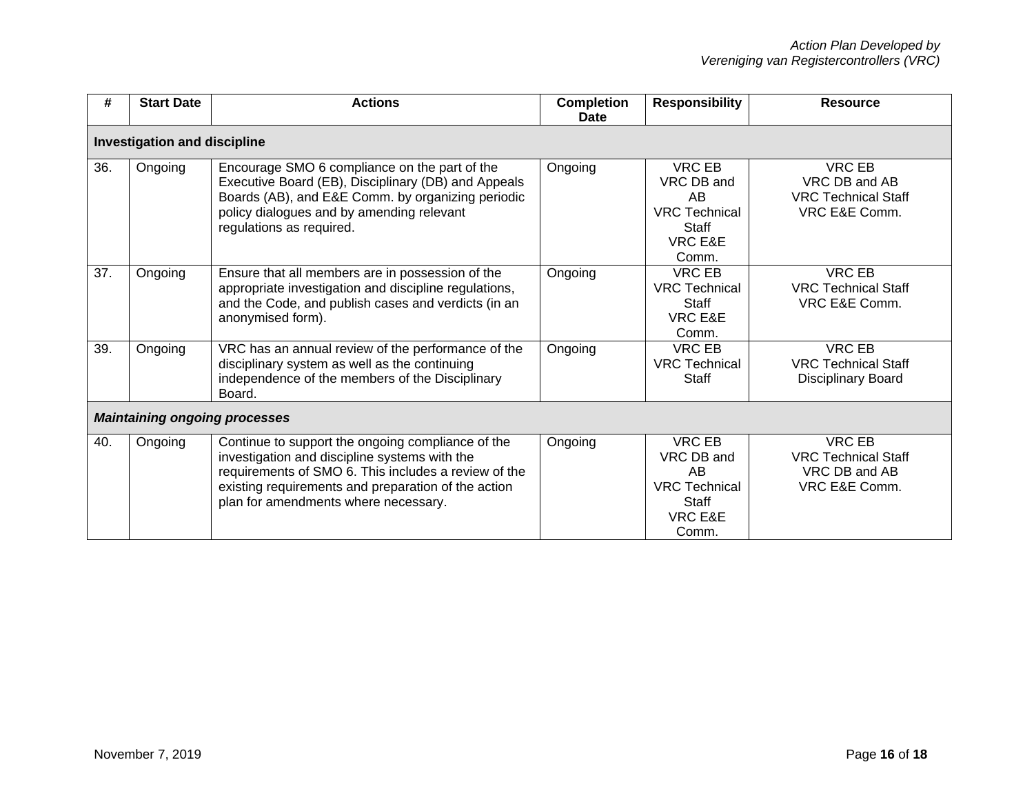| #   | <b>Start Date</b>                    | <b>Actions</b>                                                                                                                                                                                                                                            | <b>Completion</b><br>Date | <b>Responsibility</b>                                                                             | <b>Resource</b>                                                               |  |  |  |
|-----|--------------------------------------|-----------------------------------------------------------------------------------------------------------------------------------------------------------------------------------------------------------------------------------------------------------|---------------------------|---------------------------------------------------------------------------------------------------|-------------------------------------------------------------------------------|--|--|--|
|     | <b>Investigation and discipline</b>  |                                                                                                                                                                                                                                                           |                           |                                                                                                   |                                                                               |  |  |  |
| 36. | Ongoing                              | Encourage SMO 6 compliance on the part of the<br>Executive Board (EB), Disciplinary (DB) and Appeals<br>Boards (AB), and E&E Comm. by organizing periodic<br>policy dialogues and by amending relevant<br>regulations as required.                        | Ongoing                   | <b>VRC EB</b><br>VRC DB and<br>AB<br><b>VRC Technical</b><br>Staff<br>VRC E&E<br>Comm.            | VRC EB<br>VRC DB and AB<br><b>VRC Technical Staff</b><br>VRC E&E Comm.        |  |  |  |
| 37. | Ongoing                              | Ensure that all members are in possession of the<br>appropriate investigation and discipline regulations,<br>and the Code, and publish cases and verdicts (in an<br>anonymised form).                                                                     | Ongoing                   | VRC EB<br><b>VRC Technical</b><br>Staff<br>VRC E&E<br>Comm.                                       | <b>VRC EB</b><br><b>VRC Technical Staff</b><br>VRC E&E Comm.                  |  |  |  |
| 39. | Ongoing                              | VRC has an annual review of the performance of the<br>disciplinary system as well as the continuing<br>independence of the members of the Disciplinary<br>Board.                                                                                          | Ongoing                   | <b>VRC EB</b><br><b>VRC Technical</b><br>Staff                                                    | <b>VRC EB</b><br><b>VRC Technical Staff</b><br>Disciplinary Board             |  |  |  |
|     | <b>Maintaining ongoing processes</b> |                                                                                                                                                                                                                                                           |                           |                                                                                                   |                                                                               |  |  |  |
| 40. | Ongoing                              | Continue to support the ongoing compliance of the<br>investigation and discipline systems with the<br>requirements of SMO 6. This includes a review of the<br>existing requirements and preparation of the action<br>plan for amendments where necessary. | Ongoing                   | <b>VRC EB</b><br>VRC DB and<br>AB<br><b>VRC Technical</b><br>Staff<br><b>VRC E&amp;E</b><br>Comm. | <b>VRC EB</b><br><b>VRC Technical Staff</b><br>VRC DB and AB<br>VRC E&E Comm. |  |  |  |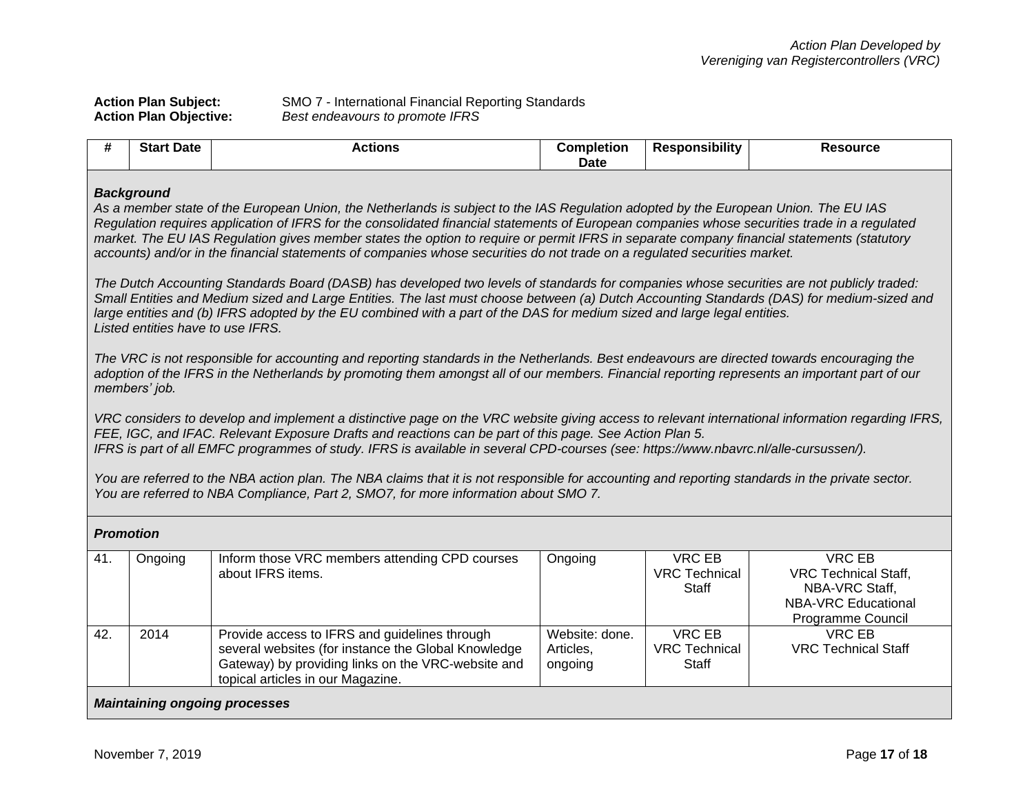|  | <b>Action Plan Subject:</b>   |
|--|-------------------------------|
|  | <b>Action Plan Objective:</b> |

**Action Plan Subject:** SMO 7 - International Financial Reporting Standards **Action Plan Objective:** *Best endeavours to promote IFRS* 

| #   | <b>Start Date</b>                                      | <b>Actions</b>                                                                                                                                                                                                                                                                                                                                                                                                                                                                                                                                                                                                                                                                                                                                                                                                                                                                                                                                                                         | <b>Completion</b><br><b>Date</b>       | <b>Responsibility</b>                          | <b>Resource</b>                                                                                                   |  |
|-----|--------------------------------------------------------|----------------------------------------------------------------------------------------------------------------------------------------------------------------------------------------------------------------------------------------------------------------------------------------------------------------------------------------------------------------------------------------------------------------------------------------------------------------------------------------------------------------------------------------------------------------------------------------------------------------------------------------------------------------------------------------------------------------------------------------------------------------------------------------------------------------------------------------------------------------------------------------------------------------------------------------------------------------------------------------|----------------------------------------|------------------------------------------------|-------------------------------------------------------------------------------------------------------------------|--|
|     | <b>Background</b><br>Listed entities have to use IFRS. | As a member state of the European Union, the Netherlands is subject to the IAS Regulation adopted by the European Union. The EU IAS<br>Regulation requires application of IFRS for the consolidated financial statements of European companies whose securities trade in a regulated<br>market. The EU IAS Regulation gives member states the option to require or permit IFRS in separate company financial statements (statutory<br>accounts) and/or in the financial statements of companies whose securities do not trade on a regulated securities market.<br>The Dutch Accounting Standards Board (DASB) has developed two levels of standards for companies whose securities are not publicly traded:<br>Small Entities and Medium sized and Large Entities. The last must choose between (a) Dutch Accounting Standards (DAS) for medium-sized and<br>large entities and (b) IFRS adopted by the EU combined with a part of the DAS for medium sized and large legal entities. |                                        |                                                |                                                                                                                   |  |
|     | members' job.                                          | The VRC is not responsible for accounting and reporting standards in the Netherlands. Best endeavours are directed towards encouraging the<br>adoption of the IFRS in the Netherlands by promoting them amongst all of our members. Financial reporting represents an important part of our                                                                                                                                                                                                                                                                                                                                                                                                                                                                                                                                                                                                                                                                                            |                                        |                                                |                                                                                                                   |  |
|     |                                                        | VRC considers to develop and implement a distinctive page on the VRC website giving access to relevant international information regarding IFRS,<br>FEE, IGC, and IFAC. Relevant Exposure Drafts and reactions can be part of this page. See Action Plan 5.<br>IFRS is part of all EMFC programmes of study. IFRS is available in several CPD-courses (see: https://www.nbavrc.nl/alle-cursussen/).<br>You are referred to the NBA action plan. The NBA claims that it is not responsible for accounting and reporting standards in the private sector.                                                                                                                                                                                                                                                                                                                                                                                                                                |                                        |                                                |                                                                                                                   |  |
|     |                                                        | You are referred to NBA Compliance, Part 2, SMO7, for more information about SMO 7.                                                                                                                                                                                                                                                                                                                                                                                                                                                                                                                                                                                                                                                                                                                                                                                                                                                                                                    |                                        |                                                |                                                                                                                   |  |
|     | <b>Promotion</b>                                       |                                                                                                                                                                                                                                                                                                                                                                                                                                                                                                                                                                                                                                                                                                                                                                                                                                                                                                                                                                                        |                                        |                                                |                                                                                                                   |  |
| 41. | Ongoing                                                | Inform those VRC members attending CPD courses<br>about IFRS items.                                                                                                                                                                                                                                                                                                                                                                                                                                                                                                                                                                                                                                                                                                                                                                                                                                                                                                                    | Ongoing                                | <b>VRC EB</b><br><b>VRC Technical</b><br>Staff | <b>VRC EB</b><br><b>VRC Technical Staff,</b><br>NBA-VRC Staff,<br><b>NBA-VRC Educational</b><br>Programme Council |  |
| 42. | 2014                                                   | Provide access to IFRS and guidelines through<br>several websites (for instance the Global Knowledge<br>Gateway) by providing links on the VRC-website and                                                                                                                                                                                                                                                                                                                                                                                                                                                                                                                                                                                                                                                                                                                                                                                                                             | Website: done.<br>Articles,<br>ongoing | <b>VRC EB</b><br><b>VRC Technical</b><br>Staff | <b>VRC EB</b><br><b>VRC Technical Staff</b>                                                                       |  |

## *Maintaining ongoing processes*

topical articles in our Magazine.